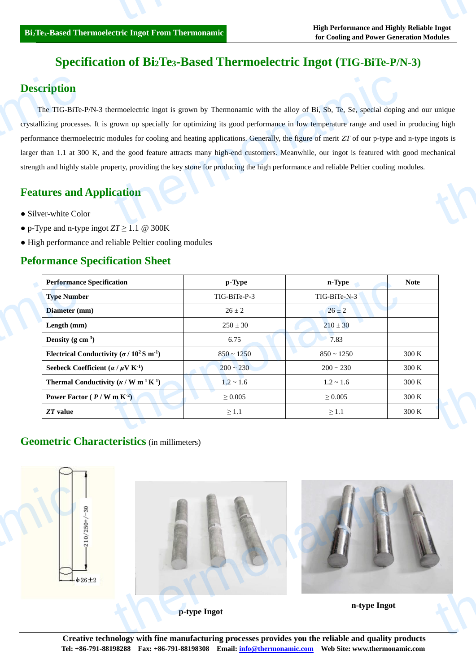# **Specification of Bi2Te3-Based Thermoelectric Ingot (TIG-BiTe-P/N-3)**

## **Description**

The TIG-BiTe-P/N-3 thermoelectric ingot is grown by Thermonamic with the alloy of Bi, Sb, Te, Se, special doping and our unique crystallizing processes. It is grown up specially for optimizing its good performance in low temperature range and used in producing high performance thermoelectric modules for cooling and heating applications. Generally, the figure of merit *ZT* of our p-type and n-type ingots is larger than 1.1 at 300 K, and the good feature attracts many high-end customers. Meanwhile, our ingot is featured with good mechanical strength and highly stable property, providing the key stone for producing the high performance and reliable Peltier cooling modules. Description<br>The TIG-BiTe-<br>crystallizing process<br>performance thermo<br>larger than 1.1 at 30<br>strength and highly s<br>Features and<br>Silver-white Col ermoelectric ingot is grown by Thermonamic with the alloy of Bi,  $Sb$ , Te, Se, special doping<br>grown up specially for optimizing its good performance in low temperature range and used in<br>nodules for cooling and heating app unique<br>ng high<br>ngots is<br>chanical

## **Features and Application**

- Silver-white Color
- p-Type and n-type ingot  $ZT \geq 1.1$  @ 300K
- High performance and reliable Peltier cooling modules

### **Peformance Specification Sheet**

| <b>Performance Specification</b>                                         | p-Type         | n-Type         | <b>Note</b> |
|--------------------------------------------------------------------------|----------------|----------------|-------------|
| <b>Type Number</b>                                                       | TIG-BiTe-P-3   | TIG-BiTe-N-3   |             |
| Diameter (mm)                                                            | $26 \pm 2$     | $26 \pm 2$     |             |
| Length (mm)                                                              | $250 \pm 30$   | $210 \pm 30$   |             |
| Density (g $cm^{-3}$ )                                                   | 6.75           | 7.83           |             |
| Electrical Conductivity ( $\sigma$ / 10 <sup>2</sup> S m <sup>-1</sup> ) | $850 - 1250$   | $850 - 1250$   | 300 K       |
| Seebeck Coefficient ( $\alpha / \mu$ V K <sup>-1</sup> )                 | $200 \sim 230$ | $200 \sim 230$ | 300 K       |
| Thermal Conductivity ( $\kappa$ / W m <sup>-1</sup> K <sup>-1</sup> )    | $1.2 \sim 1.6$ | $1.2 \sim 1.6$ | 300 K       |
| Power Factor $(P/W \text{ m K}^2)$                                       | $\geq 0.005$   | $\geq 0.005$   | 300 K       |
| $ZT$ value                                                               | $\geq 1.1$     | $\geq 1.1$     | 300 K       |

### **Geometric Characteristics** (in millimeters)